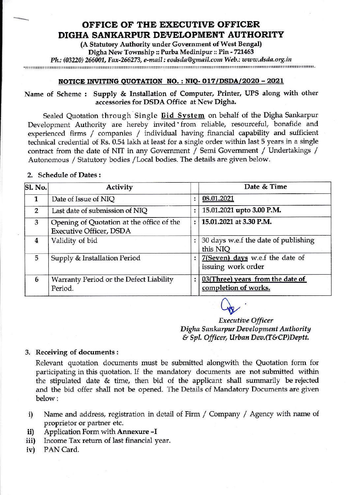### OFFICE OF THE EXECUTIVE OFFICER DIGHA SANKARPUR DEVELOPMENT AUTHORITY

(A Statutory Authority under Government of West Bengal) Digha New Township :: Purba Medinipur :: Pin - 721463

Ph.: (03220) 266001, Fax-266273, e-mail : eodsda@gmail.com Web.: www.dsda.org.in 

## NOTICE INVITING QUOTATION NO.: NIQ-017/DSDA/2020 - 2021

Name of Scheme: Supply & Installation of Computer, Printer, UPS along with other accessories for DSDA Office at New Digha.

Sealed Quotation through Single Bid System on behalf of the Digha Sankarpur Development Authority are hereby invited from reliable, resourceful, bonafide and experienced firms / companies / individual having financial capability and sufficient technical credential of Rs. 0.54 lakh at least for a single order within last 5 years in a single contract from the date of NIT in any Government / Semi Government / Undertakings / Autonomous / Statutory bodies / Local bodies. The details are given below.

### 2. Schedule of Dates:

| Sl. No.        | Activity                                                                    |   | Date & Time                                              |  |
|----------------|-----------------------------------------------------------------------------|---|----------------------------------------------------------|--|
|                | Date of Issue of NIQ                                                        |   | 08.01.2021                                               |  |
| $\overline{2}$ | Last date of submission of NIQ                                              |   | 15.01.2021 upto 3.00 P.M.                                |  |
| 3              | Opening of Quotation at the office of the<br><b>Executive Officer, DSDA</b> | ÷ | 15.01.2021 at 3.30 P.M.                                  |  |
| 4              | Validity of bid                                                             |   | 30 days w.e.f the date of publishing<br>this NIQ         |  |
| 5              | Supply & Installation Period                                                |   | 7(Seven) days w.e.f the date of<br>issuing work order    |  |
| 6              | Warranty Period or the Defect Liability<br>Period.                          |   | 03(Three) years from the date of<br>completion of works. |  |

**Executive Officer** Digha Sankarpur Development Authority & Spl. Officer, Urban Dev. (T&CP)Deptt.

### 3. Receiving of documents:

Relevant quotation documents must be submitted alongwith the Quotation form for participating in this quotation. If the mandatory documents are not submitted within the stipulated date & time, then bid of the applicant shall summarily be rejected and the bid offer shall not be opened. The Details of Mandatory Documents are given below:

- Name and address, registration in detail of Firm / Company / Agency with name of  $\mathbf{i}$ proprietor or partner etc.
- Application Form with Annexure -I ii)
- Income Tax return of last financial year. iii)
- PAN Card.  $iv)$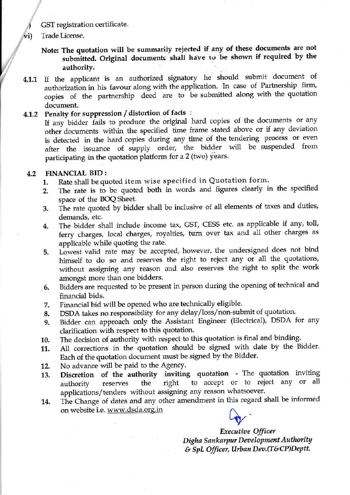GST registration certificate.

- Trade License. vi)
	- Note: The quotation will be summarity reiected if any of these documents are not submitted. Original documents shall have to be shown if required by the authority.
- 4.1.1 If the applicant is an authorized signatory he should submit document of authorization in his favour along with the application. In case of Partnership firm, copies of the partnership deed are to be submitted along with the quotation document.

### 4.1,2 Penalty for suppression / distortion of facts :

If any bidder fails to produce the original hard copies of the documents or any other documents within the specified time frame stated above or if any deviation is detected in the hard copies during any time of the tendering process or even after the issuance of supply order, the bidder will be suspended from participating in the quotation platform for a 2 (two) years.

#### FINANCIAL BID : 4.2

- 1. Rate shall be quoted item wise specified in Quotation form.
- 2. The rate is to be quoted both in words and figures clearly in the specified space of the BOQ Sheet
- 3. The rate quoted by bidder shall be inclusive of all elements of taxes and duties, demands, etc.
- 4. The bidder shall include income tax, GST, CESS etc. as applicable if any, toll, ferry charges, local charges, royalties, turn over tax and all other charges as applicable while quoting the rate.
- 5. Lowest valid rate may be accepted, however, the undersigned does not bind himself to do so and reserves the right to reject any or all the quotations, without assigning any reason and also reserves the right to split the work amongst more than one bidders.
- 6. Bidders are requested to be present in person during the opening of technical and financial bids.
- Financial bid will be opened who are technically eligible. 7.
- DSDA takes no responsibility for any delay/loss/non-submit of quotation' 8,
- Bidder can approach only the Assistant Engineer (Electrical), DSDA for any clarification with respect to this quotation. 9.
- The decision of authority with respect to this quotation is final and binding. 10.
- All corrections in the quotation should be signed with date by the Bidder. Each of the quotation document must be signed by the Bidder. 11.
- No advance will be paid to the Agency. 72.
- Discretion of the authority inviting quotation The quotation inviting authority reserves the right to accept or to reject any or all applications/tenders without assigning any reason whatsoever.  $_{\rm L}$   $_{\rm d}$  11  $_{\rm L}$ 13.
- The Change of dates and any other amendment in this regard shall be informed on website i.e. www.dsda.org.in 14.

Executive Officer Digha Sankarpur Development Authority  $&$  Spl. Officer, Urban Dev.(T&CP)Deptt.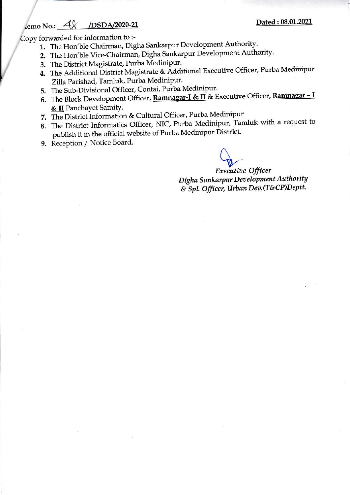#### /DSDA/2020-21 lemo No.:  $48$

Copy forwarded for information to :-

- 1. The Hon'ble Chairman, Digha Sankarpur Development Authority.
- 2. The Hon'ble Vice-Chairman, Digha Sankarpur Development Authority.
- 3. The District Magistrate, Purba Medinipur.
- 4. The Additional District Magistrate & Additional Executive Officer, Purba Medinipur Zilla Parishad, Tamluk, Purba Medinipur.
- 5. The Sub-Divisional Officer, Contai, Purba Medinipur.
- 6. The Block Development Officer, Ramnagar-I & II & Executive Officer, Ramnagar I & II Panchayet Samity.
- 7. The District Information & Cultural Officer, Purba Medinipur
- 8. The District Informatics Officer, NIC, Purba Medinipur, Tamluk with a request to publish it in the official website of Purba Medinipur District.
- 9. Reception / Notice Board.

**Executive Officer** Digha Sankarpur Development Authority & Spl. Officer, Urban Dev. (T&CP)Deptt.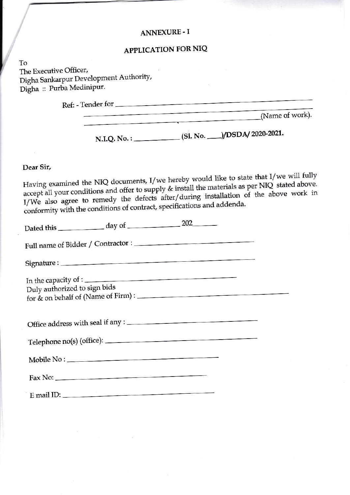### **ANNEXURE - I**

## **APPLICATION FOR NIQ**

To The Executive Officer, Digha Sankarpur Development Authority, Digha :: Purba Medinipur.

> Ref: - Tender for

(Name of work).

N.I.Q. No.: \_\_\_\_\_\_\_\_\_\_\_\_(SI. No. \_\_\_\_)/DSDA/ 2020-2021.

Dear Sir,

Having examined the NIQ documents, I/we hereby would like to state that I/we will fully accept all your conditions and offer to supply & install the materials as per NIQ stated above. I/We also agree to remedy the defects after/during installation of the above work in conformity with the conditions of contract, specifications and addenda.

|                              | Dated this $\frac{1}{202}$ day of $\frac{202}{202}$         |  |
|------------------------------|-------------------------------------------------------------|--|
|                              |                                                             |  |
|                              |                                                             |  |
| Duly authorized to sign bids | In the capacity of :<br>for & on behalf of (Name of Firm) : |  |
|                              |                                                             |  |
|                              |                                                             |  |
|                              |                                                             |  |
|                              |                                                             |  |
|                              | E mail ID:                                                  |  |